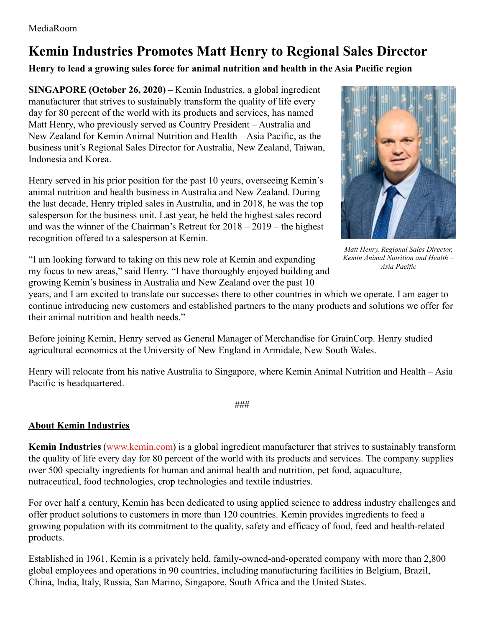## **Kemin Industries Promotes Matt Henry to Regional Sales Director**

## **Henry to lead a growing sales force for animal nutrition and health in the Asia Pacific region**

**SINGAPORE (October 26, 2020)** – Kemin Industries, a global ingredient manufacturer that strives to sustainably transform the quality of life every day for 80 percent of the world with its products and services, has named Matt Henry, who previously served as Country President – Australia and New Zealand for Kemin Animal Nutrition and Health – Asia Pacific, as the business unit's Regional Sales Director for Australia, New Zealand, Taiwan, Indonesia and Korea.

Henry served in his prior position for the past 10 years, overseeing Kemin's animal nutrition and health business in Australia and New Zealand. During the last decade, Henry tripled sales in Australia, and in 2018, he was the top salesperson for the business unit. Last year, he held the highest sales record and was the winner of the Chairman's Retreat for 2018 – 2019 – the highest recognition offered to a salesperson at Kemin.



*Matt Henry, Regional Sales Director, Kemin Animal Nutrition and Health – Asia Pacific*

"I am looking forward to taking on this new role at Kemin and expanding my focus to new areas," said Henry. "I have thoroughly enjoyed building and growing Kemin's business in Australia and New Zealand over the past 10

years, and I am excited to translate our successes there to other countries in which we operate. I am eager to continue introducing new customers and established partners to the many products and solutions we offer for their animal nutrition and health needs."

Before joining Kemin, Henry served as General Manager of Merchandise for GrainCorp. Henry studied agricultural economics at the University of New England in Armidale, New South Wales.

Henry will relocate from his native Australia to Singapore, where Kemin Animal Nutrition and Health – Asia Pacific is headquartered.

###

## **About Kemin Industries**

**Kemin Industries** [\(www.kemin.com](http://www.kemin.com/)) is a global ingredient manufacturer that strives to sustainably transform the quality of life every day for 80 percent of the world with its products and services. The company supplies over 500 specialty ingredients for human and animal health and nutrition, pet food, aquaculture, nutraceutical, food technologies, crop technologies and textile industries.

For over half a century, Kemin has been dedicated to using applied science to address industry challenges and offer product solutions to customers in more than 120 countries. Kemin provides ingredients to feed a growing population with its commitment to the quality, safety and efficacy of food, feed and health-related products.

Established in 1961, Kemin is a privately held, family-owned-and-operated company with more than 2,800 global employees and operations in 90 countries, including manufacturing facilities in Belgium, Brazil, China, India, Italy, Russia, San Marino, Singapore, South Africa and the United States.